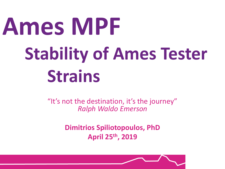# **Ames MPF Stability of Ames Tester Strains**

"It's not the destination, it's the journey" *Ralph Waldo Emerson*

> **Dimitrios Spiliotopoulos, PhD April 25th, 2019**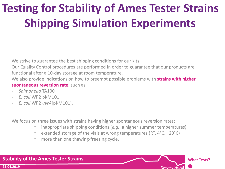# **Testing for Stability of Ames Tester Strains Shipping Simulation Experiments**

We strive to guarantee the best shipping conditions for our kits.

Our Quality Control procedures are performed in order to guarantee that our products are functional after a 10-day storage at room temperature.

We also provide indications on how to preempt possible problems with **strains with higher spontaneous reversion rate**, such as

- *Salmonella* TA100
- *E. coli* WP2 pKM101
- *E. coli* WP2 *uvrA*[pKM101].

We focus on three issues with strains having higher spontaneous reversion rates:

• inappropriate shipping conditions (*e.g.*, a higher summer temperatures)

**What Tests?**

- extended storage of the vials at wrong temperatures (RT, 4°C, –20°C)
- more than one thawing-freezing cycle.

#### *Xenometrix AG* **Stability of the Ames Tester Strains 25.04.2019**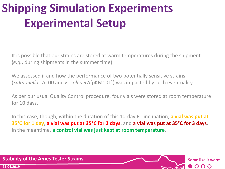# **Shipping Simulation Experiments Experimental Setup**

It is possible that our strains are stored at warm temperatures during the shipment (*e.g.*, during shipments in the summer time).

We assessed if and how the performance of two potentially sensitive strains (*Salmonella* TA100 and *E. coli uvrA*[pKM101]) was impacted by such eventuality.

As per our usual Quality Control procedure, four vials were stored at room temperature for 10 days.

In this case, though, within the duration of this 10-day RT incubation, **a vial was put at 35°C for 1 day**, **a vial was put at 35°C for 2 days**, and **a vial was put at 35°C for 3 days**. In the meantime, **a control vial was just kept at room temperature**.

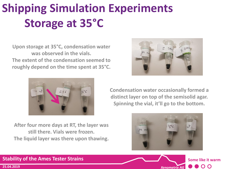# **Shipping Simulation Experiments Storage at 35°C**

**Upon storage at 35°C, condensation water was observed in the vials. The extent of the condensation seemed to roughly depend on the time spent at 35°C.**



**After four more days at RT, the layer was still there. Vials were frozen. The liquid layer was there upon thawing.**



**Condensation water occasionally formed a distinct layer on top of the semisolid agar. Spinning the vial, it'll go to the bottom.**





#### **Stability of the Ames Tester Strains**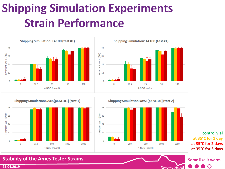### **Shipping Simulation Experiments Strain Performance**







*Xenometrix AG*

**control vial at 35°C for 1 day at 35°C for 2 days at 35°C for 3 days**

O

**Some like it warm**

#### **Stability of the Ames Tester Strains**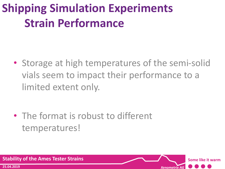### **Shipping Simulation Experiments Strain Performance**

• Storage at high temperatures of the semi-solid vials seem to impact their performance to a limited extent only.

*Xenometrix AG*

**Some like it warm**

• The format is robust to different temperatures!

**Stability of the Ames Tester Strains**

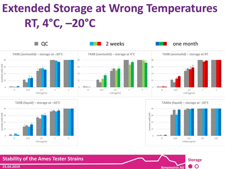# **Extended Storage at Wrong Temperatures RT, 4°C, –20°C**









#### **Stability of the Ames Tester Strains**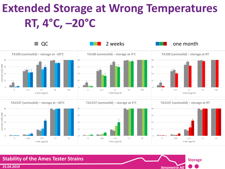# **Extended Storage at Wrong Temperatures RT, 4°C, –20°C**





*Xenometrix AG*

**Storage**

**Stability of the Ames Tester Strains**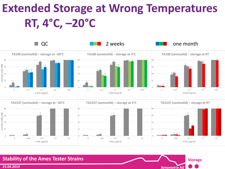# **Extended Storage at Wrong Temperatures RT, 4°C, –20°C**





*Xenometrix AG*

**Storage**

**Stability of the Ames Tester Strains**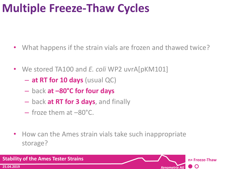#### **Multiple Freeze-Thaw Cycles**

- What happens if the strain vials are frozen and thawed twice?
- We stored TA100 and *E. coli* WP2 uvrA[pKM101]
	- **at RT for 10 days** (usual QC)
	- back **at –80°C for four days**
	- back **at RT for 3 days**, and finally
	- $-$  froze them at  $-80^{\circ}$ C.
- How can the Ames strain vials take such inappropriate storage?

**Stability of the Ames Tester Strains n× Freeze-Thaw 25.04.2019**  $\mathbf O$ *Xenometrix AG*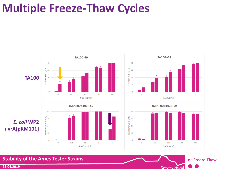#### **Multiple Freeze-Thaw Cycles**



*Xenometrix AG*

**n× Freeze-Thaw**

#### **Stability of the Ames Tester Strains**